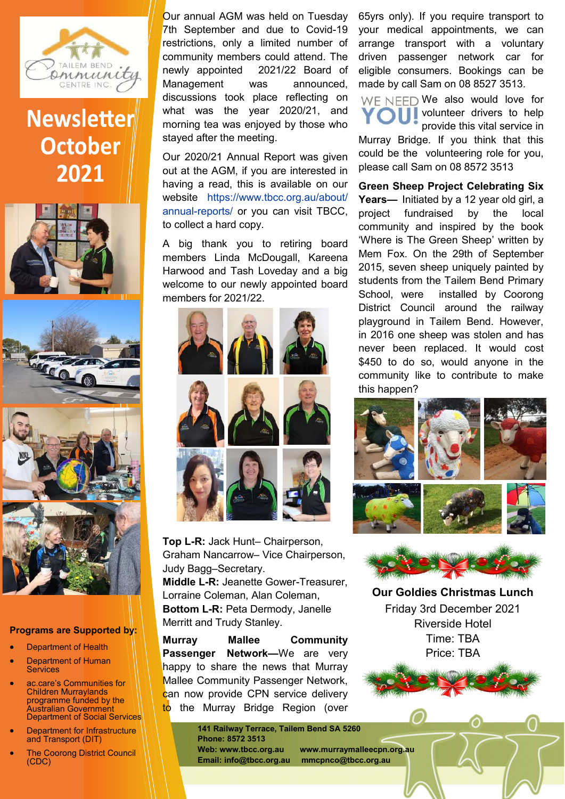

## **Newsletter October** 2021



## **Programs are Supported by:**

- Department of Health
- Department of Human **Services**
- ac.care's Communities for Children Murraylands programme funded by the Australian Government Department of Social Services
- Department for Infrastructure and Transport (DIT)
- **The Coorong District Council** (CDC)

Our annual AGM was held on Tuesday 7th September and due to Covid-19 restrictions, only a limited number of community members could attend. The newly appointed 2021/22 Board of Management was announced, discussions took place reflecting on what was the year 2020/21, and morning tea was enjoyed by those who stayed after the meeting.

Our 2020/21 Annual Report was given out at the AGM, if you are interested in having a read, this is available on our website https://www.tbcc.org.au/about/ annual-reports/ or you can visit TBCC, to collect a hard copy.

A big thank you to retiring board members Linda McDougall, Kareena Harwood and Tash Loveday and a big welcome to our newly appointed board members for 2021/22.



**Top L-R:** Jack Hunt– Chairperson, Graham Nancarrow– Vice Chairperson, Judy Bagg–Secretary. **Middle L-R:** Jeanette Gower-Treasurer, Lorraine Coleman, Alan Coleman, **Bottom L-R:** Peta Dermody, Janelle Merritt and Trudy Stanley.

**Murray Mallee Community Passenger Network—**We are very happy to share the news that Murray Mallee Community Passenger Network, can now provide CPN service delivery to the Murray Bridge Region (over

> **141 Railway Terrace, Tailem Bend SA 5260 Phone: 8572 3513**

**Web: www.tbcc.org.au www.murraymalleecpn.org.au Email: info@tbcc.org.au mmcpnco@tbcc.org.au**

65yrs only). If you require transport to your medical appointments, we can arrange transport with a voluntary driven passenger network car for eligible consumers. Bookings can be made by call Sam on 08 8527 3513.

WE NEED We also would love for **N** volunteer drivers to help provide this vital service in

Murray Bridge. If you think that this could be the volunteering role for you, please call Sam on 08 8572 3513

**Green Sheep Project Celebrating Six Years—** Initiated by a 12 year old girl, a project fundraised by the local community and inspired by the book 'Where is The Green Sheep' written by Mem Fox. On the 29th of September 2015, seven sheep uniquely painted by students from the Tailem Bend Primary School, were installed by Coorong District Council around the railway playground in Tailem Bend. However, in 2016 one sheep was stolen and has never been replaced. It would cost \$450 to do so, would anyone in the community like to contribute to make this happen?





**Our Goldies Christmas Lunch**  Friday 3rd December 2021 Riverside Hotel Time: TBA Price: TBA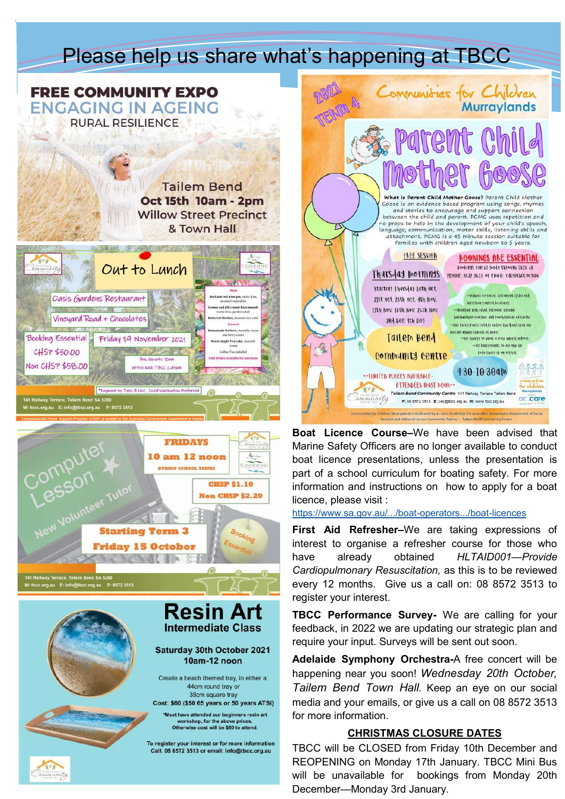## Please help us share what's happening at TBCC





**Resin Art Intermediate Class** Saturday 30th October 2021 10am-12 noon

Create a beach themed tray, in either a: 44cm round trav or 38cm square tray

Cost: \$60 (\$50 65 years or 50 years ATSI) Must have attended our beginners resin art workshop, for the above prices.<br>Otherwise cost will be \$80 to attend.

To register your interest or for more information Call: 08 8572 3513 or email: info@tbcc.org.au



**Boat Licence Course–**We have been advised that Marine Safety Officers are no longer available to conduct boat licence presentations, unless the presentation is part of a school curriculum for boating safety. For more information and instructions on how to apply for a boat licence, please visit :

[https://www.sa.gov.au/.../boat](https://www.sa.gov.au/topics/boating-and-marine/boat-operators-licences-and-permits/boat-licences?fbclid=IwAR3ip5YcDJjOKTmZ4iJaqGNV7TQGJoL68vx9b4DMar0CyXO2xwS2-iWsbUs)-operators.../boat-licences

**First Aid Refresher–**We are taking expressions of interest to organise a refresher course for those who have already obtained *HLTAID001—Provide Cardiopulmonary Resuscitation,* as this is to be reviewed every 12 months. Give us a call on: 08 8572 3513 to register your interest.

**TBCC Performance Survey-** We are calling for your feedback, in 2022 we are updating our strategic plan and require your input. Surveys will be sent out soon.

**Adelaide Symphony Orchestra-**A free concert will be happening near you soon! *Wednesday 20th October, Tailem Bend Town Hall.* Keep an eye on our social media and your emails, or give us a call on 08 8572 3513 for more information.

## **CHRISTMAS CLOSURE DATES**

TBCC will be CLOSED from Friday 10th December and REOPENING on Monday 17th January. TBCC Mini Bus will be unavailable for bookings from Monday 20th December—Monday 3rd January.